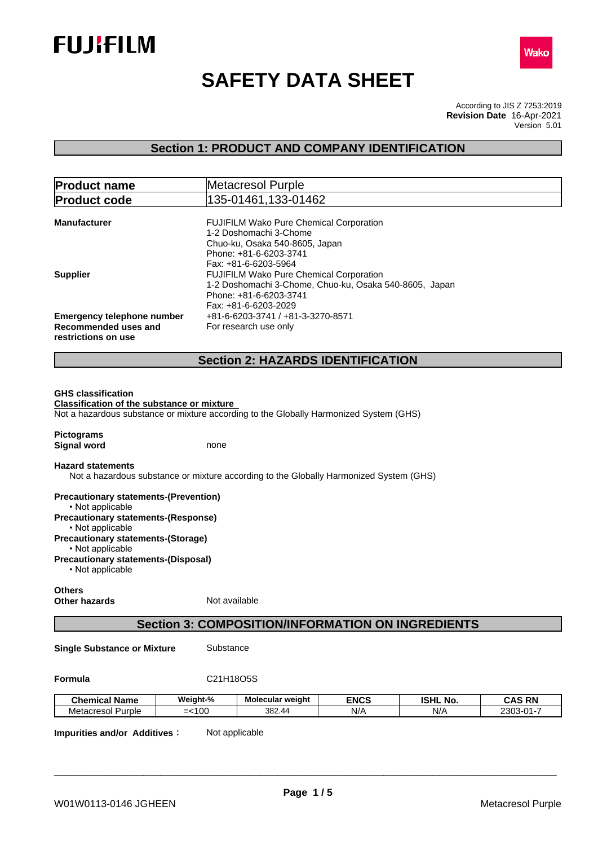



# **SAFETY DATA SHEET**

According to JIS Z 7253:2019 Version 5.01 **Revision Date** 16-Apr-2021

## **Section 1: PRODUCT AND COMPANY IDENTIFICATION**

| <b>Product name</b>                                                                          | Metacresol Purple                                                                                                                                                           |
|----------------------------------------------------------------------------------------------|-----------------------------------------------------------------------------------------------------------------------------------------------------------------------------|
| <b>Product code</b>                                                                          | 135-01461,133-01462                                                                                                                                                         |
| <b>Manufacturer</b>                                                                          | FUJIFILM Wako Pure Chemical Corporation<br>1-2 Doshomachi 3-Chome<br>Chuo-ku, Osaka 540-8605, Japan<br>Phone: +81-6-6203-3741                                               |
| <b>Supplier</b>                                                                              | Fax: +81-6-6203-5964<br>FUJIFILM Wako Pure Chemical Corporation<br>1-2 Doshomachi 3-Chome, Chuo-ku, Osaka 540-8605, Japan<br>Phone: +81-6-6203-3741<br>Fax: +81-6-6203-2029 |
| <b>Emergency telephone number</b><br>Recommended uses and<br>restrictions on use             | +81-6-6203-3741 / +81-3-3270-8571<br>For research use only                                                                                                                  |
|                                                                                              | <b>Section 2: HAZARDS IDENTIFICATION</b>                                                                                                                                    |
| <b>Classification of the substance or mixture</b><br><b>Pictograms</b><br><b>Signal word</b> | Not a hazardous substance or mixture according to the Globally Harmonized System (GHS)<br>none                                                                              |
| <b>Hazard statements</b>                                                                     | Not a hazardous substance or mixture according to the Globally Harmonized System (GHS)                                                                                      |
| <b>Precautionary statements-(Prevention)</b><br>• Not applicable                             |                                                                                                                                                                             |
| <b>Precautionary statements-(Response)</b><br>• Not applicable                               |                                                                                                                                                                             |
| <b>Precautionary statements-(Storage)</b><br>• Not applicable                                |                                                                                                                                                                             |
| <b>Precautionary statements-(Disposal)</b><br>• Not applicable                               |                                                                                                                                                                             |
| <b>Others</b><br><b>Other hazards</b>                                                        | Not available                                                                                                                                                               |
|                                                                                              | <b>Section 3: COMPOSITION/INFORMATION ON INGREDIENTS</b>                                                                                                                    |

**Single Substance or Mixture** Substance

**Formula** C21H18O5S

| <b>Chemical Name</b> | Weight-%                               | Molecular weight | <b>ENCS</b> | <b>ISHL</b><br>NO. | CAS RN<br>CAS<br>-n n                   |
|----------------------|----------------------------------------|------------------|-------------|--------------------|-----------------------------------------|
| Metacresol<br>Purple | l OC<br>--<br>$\overline{\phantom{a}}$ | 382.<br>.44      | N/f         | N/r                | $\sim$ $\sim$<br>מ∩כר<br>-----<br>-.JU- |

**Impurities and/or Additives:** Not applicable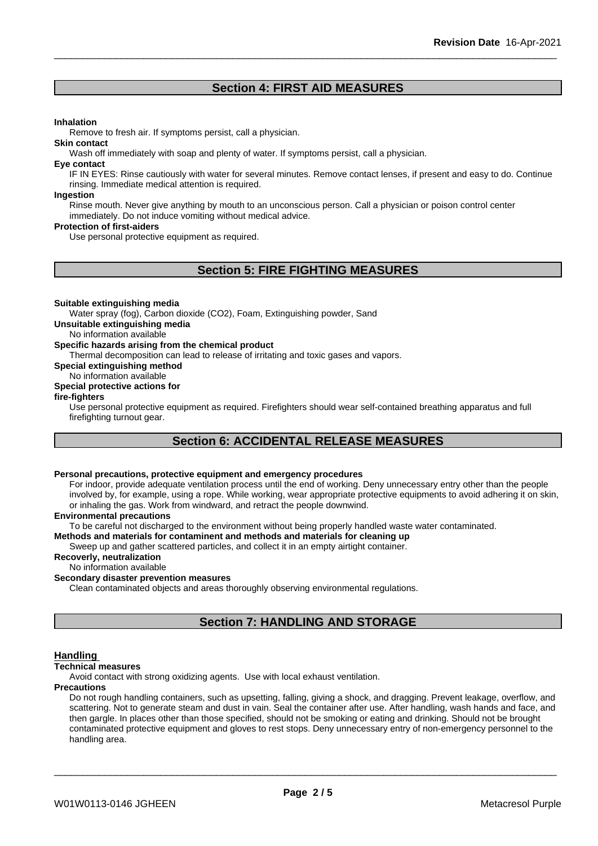## **Section 4: FIRST AID MEASURES**

#### **Inhalation**

Remove to fresh air. If symptoms persist, call a physician.

#### **Skin contact**

Wash off immediately with soap and plenty of water. If symptoms persist, call a physician.

#### **Eye contact**

IF IN EYES: Rinse cautiously with water for several minutes. Remove contact lenses, if present and easy to do. Continue rinsing. Immediate medical attention is required.

#### **Ingestion**

Rinse mouth. Never give anything by mouth to an unconscious person. Call a physician or poison control center immediately. Do not induce vomiting without medical advice.

#### **Protection of first-aiders**

Use personal protective equipment as required.

## **Section 5: FIRE FIGHTING MEASURES**

#### **Suitable extinguishing media**

Water spray (fog), Carbon dioxide (CO2), Foam, Extinguishing powder, Sand

**Unsuitable extinguishing media**

No information available

#### **Specific hazards arising from the chemical product**

Thermal decomposition can lead to release of irritating and toxic gases and vapors.

**Special extinguishing method**

No information available **Special protective actions for**

**fire-fighters**

Use personal protective equipment as required.Firefighters should wear self-contained breathing apparatus and full firefighting turnout gear.

## **Section 6: ACCIDENTAL RELEASE MEASURES**

## **Personal precautions, protective equipment and emergency procedures**

For indoor, provide adequate ventilation process until the end of working. Deny unnecessary entry other than the people involved by, for example, using a rope. While working, wear appropriate protective equipments to avoid adhering it on skin, or inhaling the gas. Work from windward, and retract the people downwind.

#### **Environmental precautions**

To be careful not discharged to the environment without being properly handled waste water contaminated.

#### **Methods and materials for contaminent and methods and materials for cleaning up**

Sweep up and gather scattered particles, and collect it in an empty airtight container.

### **Recoverly, neutralization**

No information available

#### **Secondary disaster prevention measures**

Clean contaminated objects and areas thoroughly observing environmental regulations.

## **Section 7: HANDLING AND STORAGE**

#### **Handling**

#### **Technical measures**

Avoid contact with strong oxidizing agents. Use with local exhaust ventilation.

#### **Precautions**

Do not rough handling containers, such as upsetting, falling, giving a shock, and dragging. Prevent leakage, overflow, and scattering. Not to generate steam and dust in vain. Seal the container after use. After handling, wash hands and face, and then gargle. In places other than those specified, should not be smoking or eating and drinking. Should not be brought contaminated protective equipment and gloves to rest stops. Deny unnecessary entry of non-emergency personnel to the handling area.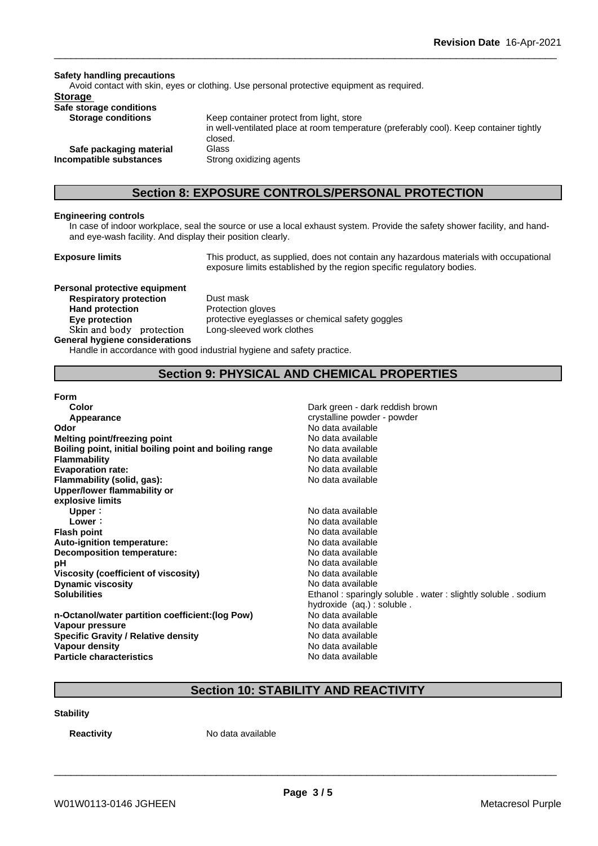**Safety handling precautions** Avoid contact with skin, eyes or clothing. Use personal protective equipment as required.**Storage Safe storage conditions Storage conditions** Keep container protect from light, store in well-ventilated place at room temperature (preferably cool). Keep container tightly closed. **Safe packaging material** Glass **Incompatible substances** Strong oxidizing agents

## **Section 8: EXPOSURE CONTROLS/PERSONAL PROTECTION**

### **Engineering controls**

In case of indoor workplace, seal the source or use a local exhaust system. Provide the safety shower facility, and handand eye-wash facility. And display their position clearly.

**Exposure limits** This product, as supplied, does not contain any hazardous materials with occupational exposure limits established by the region specific regulatory bodies.

**Personal protective equipment Respiratory protection** Dust mask **Hand protection** Protection gloves **Skinandbody protection** Long-sleeved work clothes **General hygiene considerations**

**Eve protection Eve protective eyeglasses or chemical safety goggles** 

Handle in accordance with good industrial hygiene and safety practice.

## **Section 9: PHYSICAL AND CHEMICAL PROPERTIES**

**Form**

**Color Color Color Color Dark green - dark reddish brown Appearance** crystalline powder - powder - powder - powder - powder - powder - powder - powder - powder - powder - powder - powder - powder - powder - powder - powder - powder - powder - powder - powder - powder - powder -**Odor Odor** No data available<br> **Melting point/freezing point No data available Melting point/freezing point Melting point/freezing point Boiling point, initial boiling point and boiling range** No data available **Flammability**<br> **Flammability**<br> **Evaporation rate:**<br>
No data available **Evaporation rate:** No data available **Flammability** (solid, gas): **Upper/lower flammability or explosive limits Upper** : **No data available**<br> **Lower** : **No data available**<br>
No data available **Flash point** No data available **Auto-ignition temperature:** No data available **Decomposition temperature:** No data available **pH** No data available<br>Viscosity (coefficient of viscosity) No data available **Viscosity** (coefficient of viscosity) **Dynamic viscosity No data available No data available No data available** 

**n-Octanol/water partition coefficient:(log Pow) Vapour pressure**<br> **Specific Gravity / Relative density**<br> **Specific Gravity / Relative density**<br> **No data available Specific Gravity / Relative density Vapour density No data available No data available Particle characteristics** No data available

**Lower:** No data available **Solubilities Ethanol : sparingly soluble . water : slightly soluble . sodium Ethanol : sparingly soluble . water : slightly soluble . sodium** hydroxide (aq.) : soluble .<br>No data available

## **Section 10: STABILITY AND REACTIVITY**

**Stability**

**Reactivity** No data available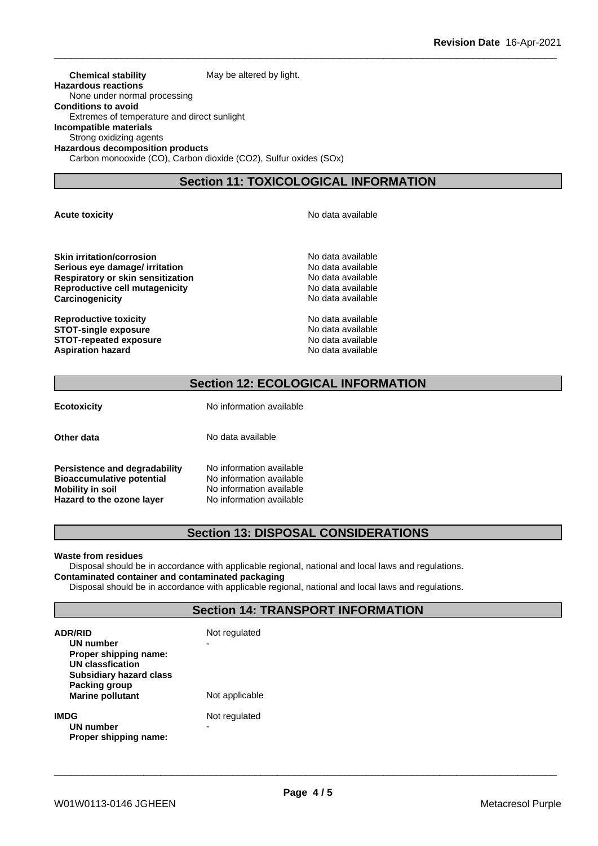**Chemical stability** May be altered by light. **Hazardous reactions** None under normal processing **Conditions to avoid** Extremes of temperature and direct sunlight **Incompatible materials** Strong oxidizing agents **Hazardous decomposition products** Carbon monooxide (CO), Carbon dioxide (CO2), Sulfur oxides (SOx)

## **Section 11: TOXICOLOGICAL INFORMATION**

**Skin irritation/corrosion** No data available **Serious eye damage/ irritation example 10** No data available **Respiratory or skin sensitization**<br> **Reproductive cell mutagenicity**<br> **Reproductive cell mutagenicity**<br> **No data available Reproductive cell mutagenicity** 

**Reproductive toxicity**<br> **STOT-single exposure**<br> **STOT-single exposure**<br> **No data available STOT-single exposure**<br> **STOT-repeated exposure**<br> **STOT-repeated exposure**<br> **No data available STOT-repeated exposure**<br> **Aspiration hazard**<br> **Aspiration hazard**<br> **Aspiration hazard Aspiration hazard** 

**Acute toxicity Acute toxicity Acute has a structure in the structure of**  $\mathbb{R}^n$  **No data available** 

**Carcinogenicity Carcinogenicity No data available** 

## **Section 12: ECOLOGICAL INFORMATION**

**Ecotoxicity** No information available

**Other data** No data available

**Persistence and degradability** No information available **Bioaccumulative potential** No information available **Mobility in soil**<br> **Hazard to the ozone layer** Mo information available **Hazard** to the ozone layer

## **Section 13: DISPOSAL CONSIDERATIONS**

#### **Waste from residues**

Disposal should be in accordance with applicable regional, national and local laws and regulations. **Contaminated container and contaminated packaging**

Disposal should be in accordance with applicable regional, national and local laws and regulations.

## **Section 14: TRANSPORT INFORMATION**

| <b>ADR/RID</b><br>UN number<br>Proper shipping name:<br><b>UN classfication</b><br><b>Subsidiary hazard class</b> | Not regulated  |  |
|-------------------------------------------------------------------------------------------------------------------|----------------|--|
| Packing group<br><b>Marine pollutant</b>                                                                          | Not applicable |  |
| <b>IMDG</b><br>UN number<br>Proper shipping name:                                                                 | Not regulated  |  |